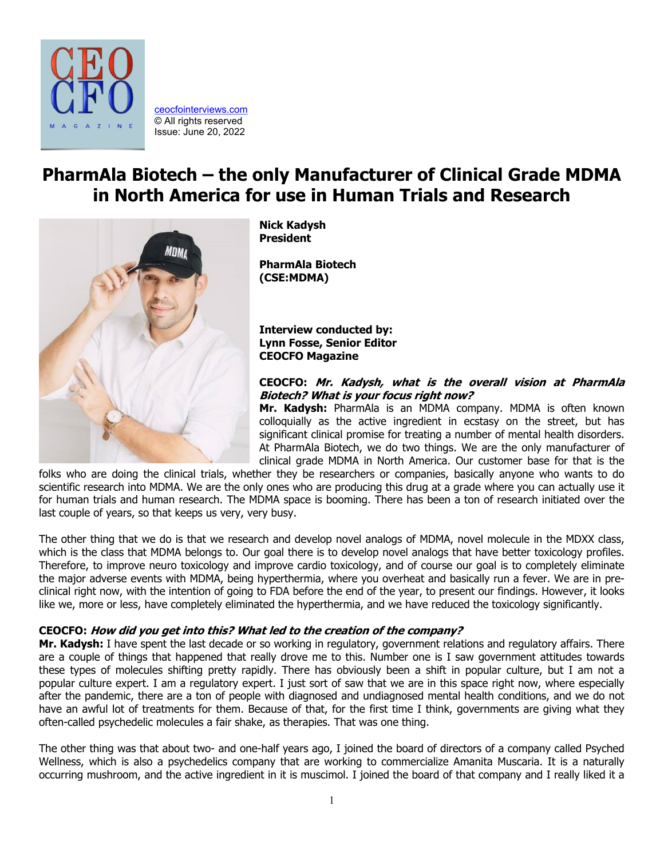

[ceocfointerviews.com](https://www.ceocfointerviews.com/) © All rights reserved Issue: June 20, 2022

# **PharmAla Biotech – the only Manufacturer of Clinical Grade MDMA in North America for use in Human Trials and Research**



**Nick Kadysh President**

**PharmAla Biotech (CSE:MDMA)**

**Interview conducted by: Lynn Fosse, Senior Editor CEOCFO Magazine**

## **CEOCFO: Mr. Kadysh, what is the overall vision at PharmAla Biotech? What is your focus right now?**

**Mr. Kadysh:** PharmAla is an MDMA company. MDMA is often known colloquially as the active ingredient in ecstasy on the street, but has significant clinical promise for treating a number of mental health disorders. At PharmAla Biotech, we do two things. We are the only manufacturer of clinical grade MDMA in North America. Our customer base for that is the

folks who are doing the clinical trials, whether they be researchers or companies, basically anyone who wants to do scientific research into MDMA. We are the only ones who are producing this drug at a grade where you can actually use it for human trials and human research. The MDMA space is booming. There has been a ton of research initiated over the last couple of years, so that keeps us very, very busy.

The other thing that we do is that we research and develop novel analogs of MDMA, novel molecule in the MDXX class, which is the class that MDMA belongs to. Our goal there is to develop novel analogs that have better toxicology profiles. Therefore, to improve neuro toxicology and improve cardio toxicology, and of course our goal is to completely eliminate the major adverse events with MDMA, being hyperthermia, where you overheat and basically run a fever. We are in preclinical right now, with the intention of going to FDA before the end of the year, to present our findings. However, it looks like we, more or less, have completely eliminated the hyperthermia, and we have reduced the toxicology significantly.

## **CEOCFO: How did you get into this? What led to the creation of the company?**

**Mr. Kadysh:** I have spent the last decade or so working in regulatory, government relations and regulatory affairs. There are a couple of things that happened that really drove me to this. Number one is I saw government attitudes towards these types of molecules shifting pretty rapidly. There has obviously been a shift in popular culture, but I am not a popular culture expert. I am a regulatory expert. I just sort of saw that we are in this space right now, where especially after the pandemic, there are a ton of people with diagnosed and undiagnosed mental health conditions, and we do not have an awful lot of treatments for them. Because of that, for the first time I think, governments are giving what they often-called psychedelic molecules a fair shake, as therapies. That was one thing.

The other thing was that about two- and one-half years ago, I joined the board of directors of a company called Psyched Wellness, which is also a psychedelics company that are working to commercialize Amanita Muscaria. It is a naturally occurring mushroom, and the active ingredient in it is muscimol. I joined the board of that company and I really liked it a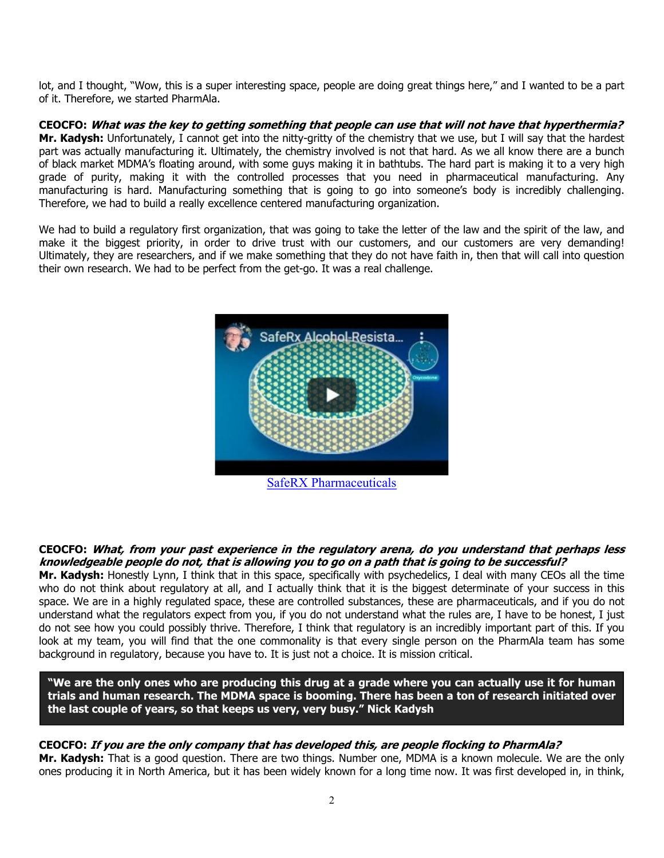lot, and I thought, "Wow, this is a super interesting space, people are doing great things here," and I wanted to be a part of it. Therefore, we started PharmAla.

**CEOCFO: What was the key to getting something that people can use that will not have that hyperthermia? Mr. Kadysh:** Unfortunately, I cannot get into the nitty-gritty of the chemistry that we use, but I will say that the hardest part was actually manufacturing it. Ultimately, the chemistry involved is not that hard. As we all know there are a bunch of black market MDMA's floating around, with some guys making it in bathtubs. The hard part is making it to a very high grade of purity, making it with the controlled processes that you need in pharmaceutical manufacturing. Any manufacturing is hard. Manufacturing something that is going to go into someone's body is incredibly challenging. Therefore, we had to build a really excellence centered manufacturing organization.

We had to build a regulatory first organization, that was going to take the letter of the law and the spirit of the law, and make it the biggest priority, in order to drive trust with our customers, and our customers are very demanding! Ultimately, they are researchers, and if we make something that they do not have faith in, then that will call into question their own research. We had to be perfect from the get-go. It was a real challenge.



#### **CEOCFO: What, from your past experience in the regulatory arena, do you understand that perhaps less knowledgeable people do not, that is allowing you to go on a path that is going to be successful?**

**Mr. Kadysh:** Honestly Lynn, I think that in this space, specifically with psychedelics, I deal with many CEOs all the time who do not think about regulatory at all, and I actually think that it is the biggest determinate of your success in this space. We are in a highly regulated space, these are controlled substances, these are pharmaceuticals, and if you do not understand what the regulators expect from you, if you do not understand what the rules are, I have to be honest, I just do not see how you could possibly thrive. Therefore, I think that regulatory is an incredibly important part of this. If you look at my team, you will find that the one commonality is that every single person on the PharmAla team has some background in regulatory, because you have to. It is just not a choice. It is mission critical.

**"We are the only ones who are producing this drug at a grade where you can actually use it for human trials and human research. The MDMA space is booming. There has been a ton of research initiated over the last couple of years, so that keeps us very, very busy." Nick Kadysh**

# **CEOCFO: If you are the only company that has developed this, are people flocking to PharmAla?**

**Mr. Kadysh:** That is a good question. There are two things. Number one, MDMA is a known molecule. We are the only ones producing it in North America, but it has been widely known for a long time now. It was first developed in, in think,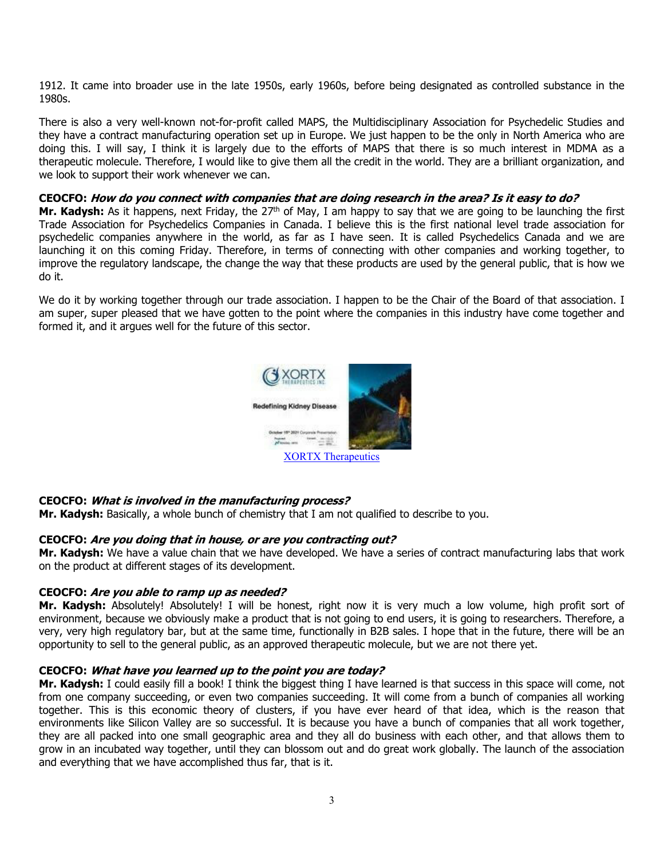1912. It came into broader use in the late 1950s, early 1960s, before being designated as controlled substance in the 1980s.

There is also a very well-known not-for-profit called MAPS, the Multidisciplinary Association for Psychedelic Studies and they have a contract manufacturing operation set up in Europe. We just happen to be the only in North America who are doing this. I will say, I think it is largely due to the efforts of MAPS that there is so much interest in MDMA as a therapeutic molecule. Therefore, I would like to give them all the credit in the world. They are a brilliant organization, and we look to support their work whenever we can.

## **CEOCFO: How do you connect with companies that are doing research in the area? Is it easy to do?**

**Mr. Kadysh:** As it happens, next Friday, the 27<sup>th</sup> of May, I am happy to say that we are going to be launching the first Trade Association for Psychedelics Companies in Canada. I believe this is the first national level trade association for psychedelic companies anywhere in the world, as far as I have seen. It is called Psychedelics Canada and we are launching it on this coming Friday. Therefore, in terms of connecting with other companies and working together, to improve the regulatory landscape, the change the way that these products are used by the general public, that is how we do it.

We do it by working together through our trade association. I happen to be the Chair of the Board of that association. I am super, super pleased that we have gotten to the point where the companies in this industry have come together and formed it, and it argues well for the future of this sector.



## **CEOCFO: What is involved in the manufacturing process?**

**Mr. Kadysh:** Basically, a whole bunch of chemistry that I am not qualified to describe to you.

## **CEOCFO: Are you doing that in house, or are you contracting out?**

**Mr. Kadysh:** We have a value chain that we have developed. We have a series of contract manufacturing labs that work on the product at different stages of its development.

## **CEOCFO: Are you able to ramp up as needed?**

**Mr. Kadysh:** Absolutely! Absolutely! I will be honest, right now it is very much a low volume, high profit sort of environment, because we obviously make a product that is not going to end users, it is going to researchers. Therefore, a very, very high regulatory bar, but at the same time, functionally in B2B sales. I hope that in the future, there will be an opportunity to sell to the general public, as an approved therapeutic molecule, but we are not there yet.

## **CEOCFO: What have you learned up to the point you are today?**

**Mr. Kadysh:** I could easily fill a book! I think the biggest thing I have learned is that success in this space will come, not from one company succeeding, or even two companies succeeding. It will come from a bunch of companies all working together. This is this economic theory of clusters, if you have ever heard of that idea, which is the reason that environments like Silicon Valley are so successful. It is because you have a bunch of companies that all work together, they are all packed into one small geographic area and they all do business with each other, and that allows them to grow in an incubated way together, until they can blossom out and do great work globally. The launch of the association and everything that we have accomplished thus far, that is it.